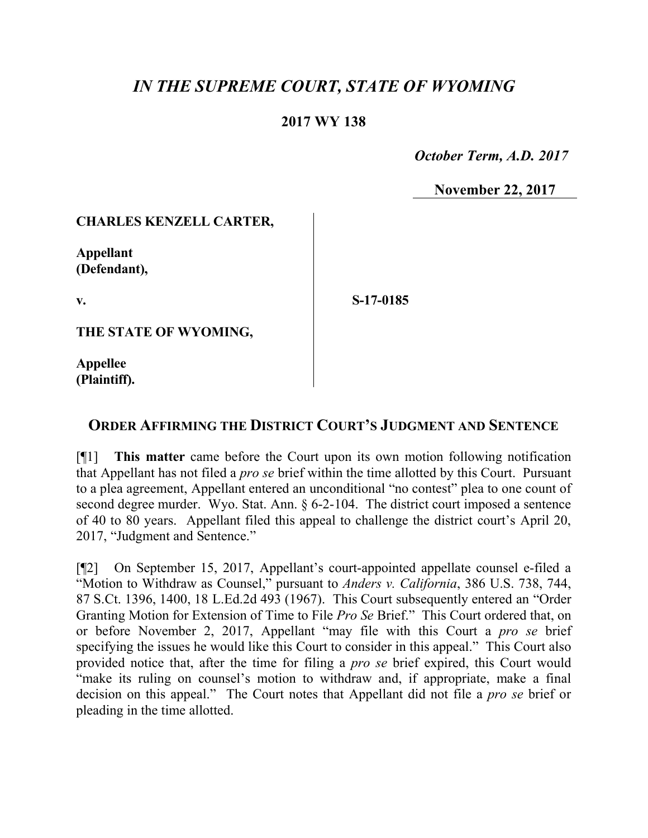# *IN THE SUPREME COURT, STATE OF WYOMING*

#### **2017 WY 138**

 *October Term, A.D. 2017*

**November 22, 2017**

#### **CHARLES KENZELL CARTER,**

**Appellant (Defendant),**

**v.**

**S-17-0185**

**THE STATE OF WYOMING,**

**Appellee (Plaintiff).**

## **ORDER AFFIRMING THE DISTRICT COURT'S JUDGMENT AND SENTENCE**

[¶1] **This matter** came before the Court upon its own motion following notification that Appellant has not filed a *pro se* brief within the time allotted by this Court. Pursuant to a plea agreement, Appellant entered an unconditional "no contest" plea to one count of second degree murder. Wyo. Stat. Ann. § 6-2-104. The district court imposed a sentence of 40 to 80 years. Appellant filed this appeal to challenge the district court's April 20, 2017, "Judgment and Sentence."

[¶2] On September 15, 2017, Appellant's court-appointed appellate counsel e-filed a "Motion to Withdraw as Counsel," pursuant to *Anders v. California*, 386 U.S. 738, 744, 87 S.Ct. 1396, 1400, 18 L.Ed.2d 493 (1967). This Court subsequently entered an "Order Granting Motion for Extension of Time to File *Pro Se* Brief." This Court ordered that, on or before November 2, 2017, Appellant "may file with this Court a *pro se* brief specifying the issues he would like this Court to consider in this appeal." This Court also provided notice that, after the time for filing a *pro se* brief expired, this Court would "make its ruling on counsel's motion to withdraw and, if appropriate, make a final decision on this appeal." The Court notes that Appellant did not file a *pro se* brief or pleading in the time allotted.